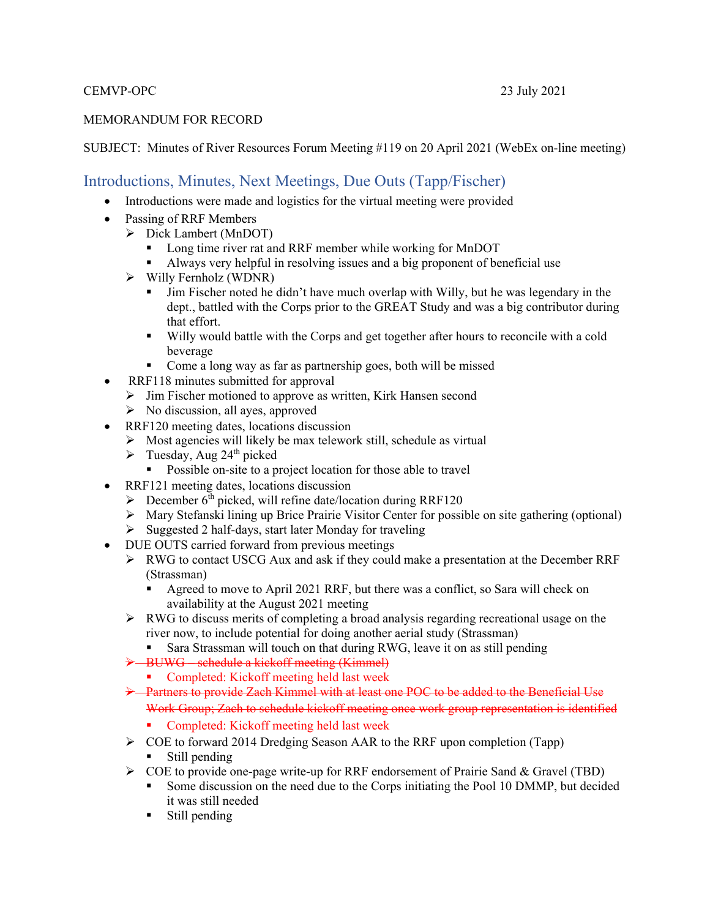#### CEMVP-OPC 23 July 2021

#### MEMORANDUM FOR RECORD

#### SUBJECT: Minutes of River Resources Forum Meeting #119 on 20 April 2021 (WebEx on-line meeting)

#### Introductions, Minutes, Next Meetings, Due Outs (Tapp/Fischer)

- Introductions were made and logistics for the virtual meeting were provided
- Passing of RRF Members
	- Dick Lambert (MnDOT)
		- **Long time river rat and RRF member while working for MnDOT**
		- Always very helpful in resolving issues and a big proponent of beneficial use
	- $\triangleright$  Willy Fernholz (WDNR)
		- Jim Fischer noted he didn't have much overlap with Willy, but he was legendary in the dept., battled with the Corps prior to the GREAT Study and was a big contributor during that effort.
		- Willy would battle with the Corps and get together after hours to reconcile with a cold beverage
		- Come a long way as far as partnership goes, both will be missed
- RRF118 minutes submitted for approval
	- $\triangleright$  Jim Fischer motioned to approve as written, Kirk Hansen second
	- $\triangleright$  No discussion, all ayes, approved
- RRF120 meeting dates, locations discussion
	- $\triangleright$  Most agencies will likely be max telework still, schedule as virtual
	- $\triangleright$  Tuesday, Aug 24<sup>th</sup> picked
		- Possible on-site to a project location for those able to travel
- RRF121 meeting dates, locations discussion
	- $\triangleright$  December 6<sup>th</sup> picked, will refine date/location during RRF120
	- Mary Stefanski lining up Brice Prairie Visitor Center for possible on site gathering (optional)
	- $\triangleright$  Suggested 2 half-days, start later Monday for traveling
- DUE OUTS carried forward from previous meetings
	- $\triangleright$  RWG to contact USCG Aux and ask if they could make a presentation at the December RRF (Strassman)
		- Agreed to move to April 2021 RRF, but there was a conflict, so Sara will check on availability at the August 2021 meeting
	- RWG to discuss merits of completing a broad analysis regarding recreational usage on the river now, to include potential for doing another aerial study (Strassman)
		- Sara Strassman will touch on that during RWG, leave it on as still pending
	- > BUWG schedule a kickoff meeting (Kimmel)
		- Completed: Kickoff meeting held last week
	- $\rightarrow$  Partners to provide Zach Kimmel with at least one POC to be added to the Beneficial Use Work Group; Zach to schedule kickoff meeting once work group representation is identified
		- **Completed:** Kickoff meeting held last week
	- $\triangleright$  COE to forward 2014 Dredging Season AAR to the RRF upon completion (Tapp) **Still pending**
	- COE to provide one-page write-up for RRF endorsement of Prairie Sand & Gravel (TBD)
		- Some discussion on the need due to the Corps initiating the Pool 10 DMMP, but decided it was still needed
		- **Still pending**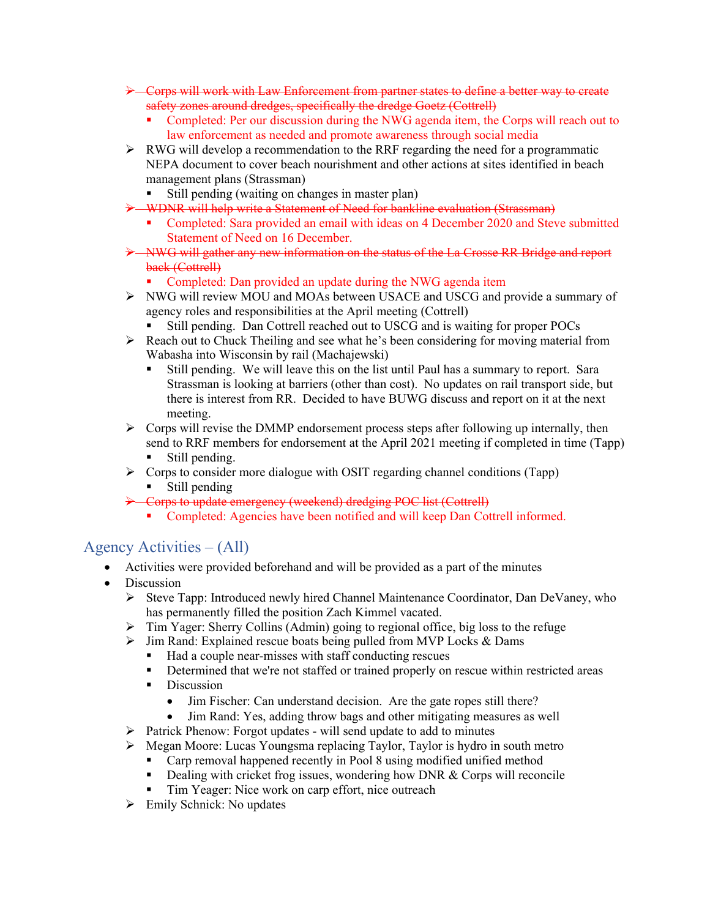- Corps will work with Law Enforcement from partner states to define a better way to create safety zones around dredges, specifically the dredge Goetz (Cottrell)
	- Completed: Per our discussion during the NWG agenda item, the Corps will reach out to law enforcement as needed and promote awareness through social media
- $\triangleright$  RWG will develop a recommendation to the RRF regarding the need for a programmatic NEPA document to cover beach nourishment and other actions at sites identified in beach management plans (Strassman)
	- Still pending (waiting on changes in master plan)
- WDNR will help write a Statement of Need for bankline evaluation (Strassman)
	- Completed: Sara provided an email with ideas on 4 December 2020 and Steve submitted Statement of Need on 16 December.
- NWG will gather any new information on the status of the La Crosse RR Bridge and report back (Cottrell)
	- Completed: Dan provided an update during the NWG agenda item
- NWG will review MOU and MOAs between USACE and USCG and provide a summary of agency roles and responsibilities at the April meeting (Cottrell)
	- Still pending. Dan Cottrell reached out to USCG and is waiting for proper POCs
- $\triangleright$  Reach out to Chuck Theiling and see what he's been considering for moving material from Wabasha into Wisconsin by rail (Machajewski)
	- Still pending. We will leave this on the list until Paul has a summary to report. Sara Strassman is looking at barriers (other than cost). No updates on rail transport side, but there is interest from RR. Decided to have BUWG discuss and report on it at the next meeting.
- $\triangleright$  Corps will revise the DMMP endorsement process steps after following up internally, then send to RRF members for endorsement at the April 2021 meeting if completed in time (Tapp) Still pending.
- $\triangleright$  Corps to consider more dialogue with OSIT regarding channel conditions (Tapp)
	- **Still pending**
- → Corps to update emergency (weekend) dredging POC list (Cottrell)
	- Completed: Agencies have been notified and will keep Dan Cottrell informed.

## Agency Activities – (All)

- Activities were provided beforehand and will be provided as a part of the minutes
- Discussion
	- Steve Tapp: Introduced newly hired Channel Maintenance Coordinator, Dan DeVaney, who has permanently filled the position Zach Kimmel vacated.
	- $\triangleright$  Tim Yager: Sherry Collins (Admin) going to regional office, big loss to the refuge
	- $\triangleright$  Jim Rand: Explained rescue boats being pulled from MVP Locks & Dams
		- Had a couple near-misses with staff conducting rescues
		- **•** Determined that we're not staffed or trained properly on rescue within restricted areas
		- Discussion
			- Jim Fischer: Can understand decision. Are the gate ropes still there?
			- Jim Rand: Yes, adding throw bags and other mitigating measures as well
	- $\triangleright$  Patrick Phenow: Forgot updates will send update to add to minutes
	- $\triangleright$  Megan Moore: Lucas Youngsma replacing Taylor, Taylor is hydro in south metro
		- Carp removal happened recently in Pool 8 using modified unified method
		- Dealing with cricket frog issues, wondering how DNR & Corps will reconcile
		- Tim Yeager: Nice work on carp effort, nice outreach
	- $\triangleright$  Emily Schnick: No updates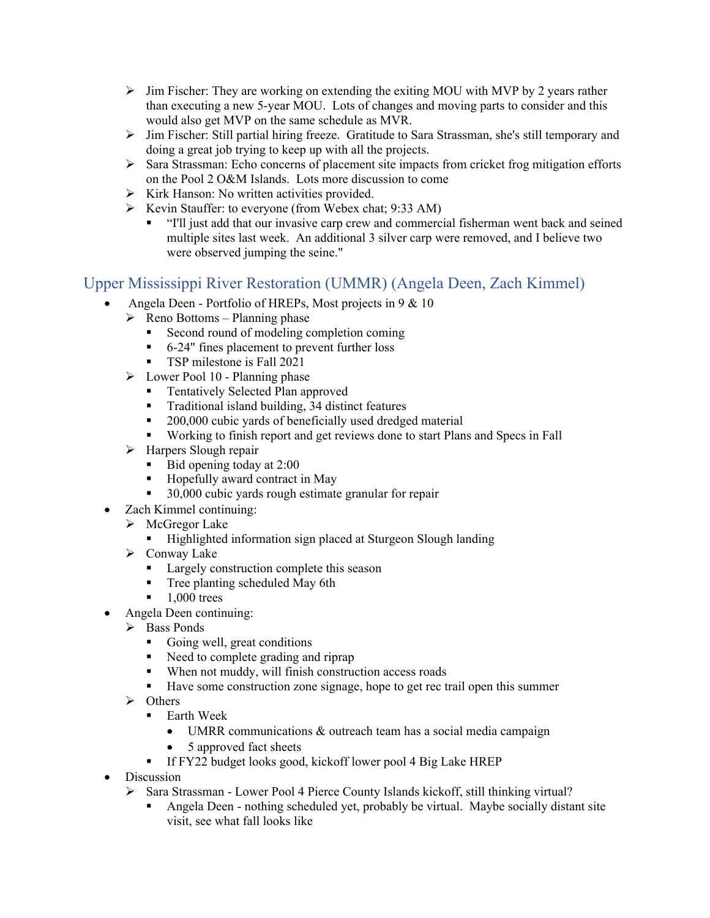- $\triangleright$  Jim Fischer: They are working on extending the exiting MOU with MVP by 2 years rather than executing a new 5-year MOU. Lots of changes and moving parts to consider and this would also get MVP on the same schedule as MVR.
- $\triangleright$  Jim Fischer: Still partial hiring freeze. Gratitude to Sara Strassman, she's still temporary and doing a great job trying to keep up with all the projects.
- $\triangleright$  Sara Strassman: Echo concerns of placement site impacts from cricket frog mitigation efforts on the Pool 2 O&M Islands. Lots more discussion to come
- $\triangleright$  Kirk Hanson: No written activities provided.
- Exevin Stauffer: to everyone (from Webex chat;  $9:33$  AM)
	- "I'll just add that our invasive carp crew and commercial fisherman went back and seined multiple sites last week. An additional 3 silver carp were removed, and I believe two were observed jumping the seine."

#### Upper Mississippi River Restoration (UMMR) (Angela Deen, Zach Kimmel)

- Angela Deen Portfolio of HREPs, Most projects in 9 & 10
- $\triangleright$  Reno Bottoms Planning phase
	- Second round of modeling completion coming
	- 6-24" fines placement to prevent further loss
	- **TSP** milestone is Fall 2021
- $\triangleright$  Lower Pool 10 Planning phase
	- **Tentatively Selected Plan approved**
	- Traditional island building, 34 distinct features
	- **200,000 cubic yards of beneficially used dredged material**
	- Working to finish report and get reviews done to start Plans and Specs in Fall
- $\triangleright$  Harpers Slough repair
	- $\blacksquare$  Bid opening today at 2:00
	- Hopefully award contract in May
	- 30,000 cubic yards rough estimate granular for repair
- Zach Kimmel continuing:
	- $\triangleright$  McGregor Lake
		- **Highlighted information sign placed at Sturgeon Slough landing**
	- $\triangleright$  Conway Lake
		- **Largely construction complete this season**
		- **Tree planting scheduled May 6th**
		- $\blacksquare$  1,000 trees
- Angela Deen continuing:
	- $\triangleright$  Bass Ponds
		- Going well, great conditions
		- Need to complete grading and riprap
		- When not muddy, will finish construction access roads
		- Have some construction zone signage, hope to get rec trail open this summer
	- $\triangleright$  Others
		- $\blacksquare$  Earth Week
			- UMRR communications & outreach team has a social media campaign
			- 5 approved fact sheets
		- If FY22 budget looks good, kickoff lower pool 4 Big Lake HREP
- Discussion
	- $\triangleright$  Sara Strassman Lower Pool 4 Pierce County Islands kickoff, still thinking virtual?
		- Angela Deen nothing scheduled yet, probably be virtual. Maybe socially distant site visit, see what fall looks like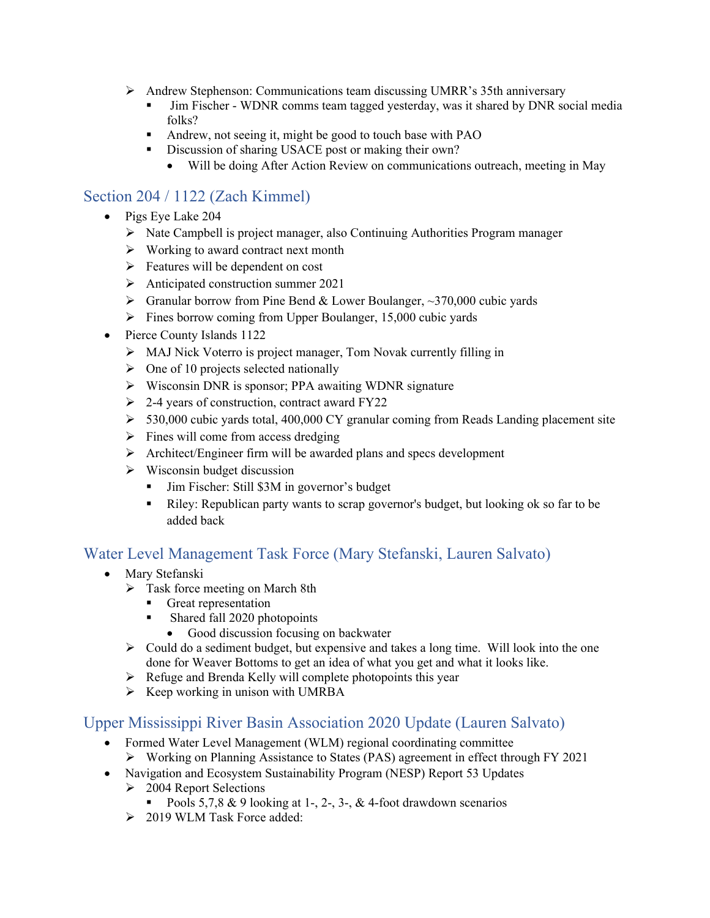- Andrew Stephenson: Communications team discussing UMRR's 35th anniversary
	- Jim Fischer WDNR comms team tagged yesterday, was it shared by DNR social media folks?
	- Andrew, not seeing it, might be good to touch base with PAO
	- Discussion of sharing USACE post or making their own?
		- Will be doing After Action Review on communications outreach, meeting in May

# Section 204 / 1122 (Zach Kimmel)

- Pigs Eye Lake 204
	- Nate Campbell is project manager, also Continuing Authorities Program manager
	- $\triangleright$  Working to award contract next month
	- $\triangleright$  Features will be dependent on cost
	- $\triangleright$  Anticipated construction summer 2021
	- $\triangleright$  Granular borrow from Pine Bend & Lower Boulanger, ~370,000 cubic yards
	- $\triangleright$  Fines borrow coming from Upper Boulanger, 15,000 cubic yards
- Pierce County Islands 1122
	- MAJ Nick Voterro is project manager, Tom Novak currently filling in
	- $\triangleright$  One of 10 projects selected nationally
	- Wisconsin DNR is sponsor; PPA awaiting WDNR signature
	- $\geq$  2-4 years of construction, contract award FY22
	- $>$  530,000 cubic yards total, 400,000 CY granular coming from Reads Landing placement site
	- $\triangleright$  Fines will come from access dredging
	- Architect/Engineer firm will be awarded plans and specs development
	- $\triangleright$  Wisconsin budget discussion
		- Jim Fischer: Still \$3M in governor's budget
		- Riley: Republican party wants to scrap governor's budget, but looking ok so far to be added back

## Water Level Management Task Force (Mary Stefanski, Lauren Salvato)

- Mary Stefanski
	- $\triangleright$  Task force meeting on March 8th
		- Great representation
		- **Shared fall 2020 photopoints** 
			- Good discussion focusing on backwater
	- $\triangleright$  Could do a sediment budget, but expensive and takes a long time. Will look into the one done for Weaver Bottoms to get an idea of what you get and what it looks like.
	- $\triangleright$  Refuge and Brenda Kelly will complete photopoints this year
	- $\triangleright$  Keep working in unison with UMRBA

#### Upper Mississippi River Basin Association 2020 Update (Lauren Salvato)

- Formed Water Level Management (WLM) regional coordinating committee
	- Working on Planning Assistance to States (PAS) agreement in effect through FY 2021
- Navigation and Ecosystem Sustainability Program (NESP) Report 53 Updates
	- $\geq 2004$  Report Selections
		- Pools 5,7,8 & 9 looking at 1-, 2-, 3-, & 4-foot drawdown scenarios
	- 2019 WLM Task Force added: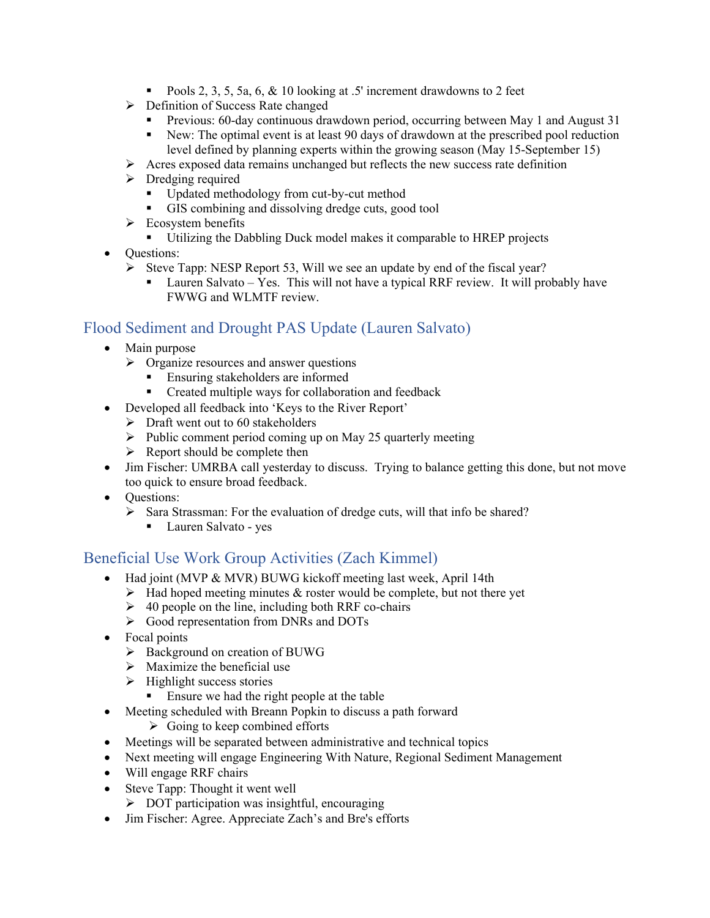- Pools 2, 3, 5, 5a, 6, & 10 looking at .5' increment drawdowns to 2 feet
- $\triangleright$  Definition of Success Rate changed
	- **Previous: 60-day continuous drawdown period, occurring between May 1 and August 31**
	- New: The optimal event is at least 90 days of drawdown at the prescribed pool reduction level defined by planning experts within the growing season (May 15-September 15)
- $\triangleright$  Acres exposed data remains unchanged but reflects the new success rate definition
- $\triangleright$  Dredging required
	- Updated methodology from cut-by-cut method
	- GIS combining and dissolving dredge cuts, good tool
- $\triangleright$  Ecosystem benefits
	- Utilizing the Dabbling Duck model makes it comparable to HREP projects
- Ouestions:
	- Steve Tapp: NESP Report 53, Will we see an update by end of the fiscal year?
		- **Lauren Salvato** Yes. This will not have a typical RRF review. It will probably have FWWG and WLMTF review.

## Flood Sediment and Drought PAS Update (Lauren Salvato)

- Main purpose
	- $\triangleright$  Organize resources and answer questions
		- Ensuring stakeholders are informed
		- Created multiple ways for collaboration and feedback
- Developed all feedback into 'Keys to the River Report'
	- $\triangleright$  Draft went out to 60 stakeholders
	- $\triangleright$  Public comment period coming up on May 25 quarterly meeting
	- $\triangleright$  Report should be complete then
- Jim Fischer: UMRBA call yesterday to discuss. Trying to balance getting this done, but not move too quick to ensure broad feedback.
- **Ouestions:** 
	- $\triangleright$  Sara Strassman: For the evaluation of dredge cuts, will that info be shared?
		- Lauren Salvato yes

#### Beneficial Use Work Group Activities (Zach Kimmel)

- Had joint (MVP & MVR) BUWG kickoff meeting last week, April 14th
	- $\triangleright$  Had hoped meeting minutes & roster would be complete, but not there yet
	- $\geq 40$  people on the line, including both RRF co-chairs
	- $\triangleright$  Good representation from DNRs and DOTs
- Focal points
	- $\triangleright$  Background on creation of BUWG
	- $\triangleright$  Maximize the beneficial use
	- $\triangleright$  Highlight success stories
		- Ensure we had the right people at the table
- Meeting scheduled with Breann Popkin to discuss a path forward
	- $\triangleright$  Going to keep combined efforts
- Meetings will be separated between administrative and technical topics
- Next meeting will engage Engineering With Nature, Regional Sediment Management
- Will engage RRF chairs
- Steve Tapp: Thought it went well
	- $\triangleright$  DOT participation was insightful, encouraging
- Jim Fischer: Agree. Appreciate Zach's and Bre's efforts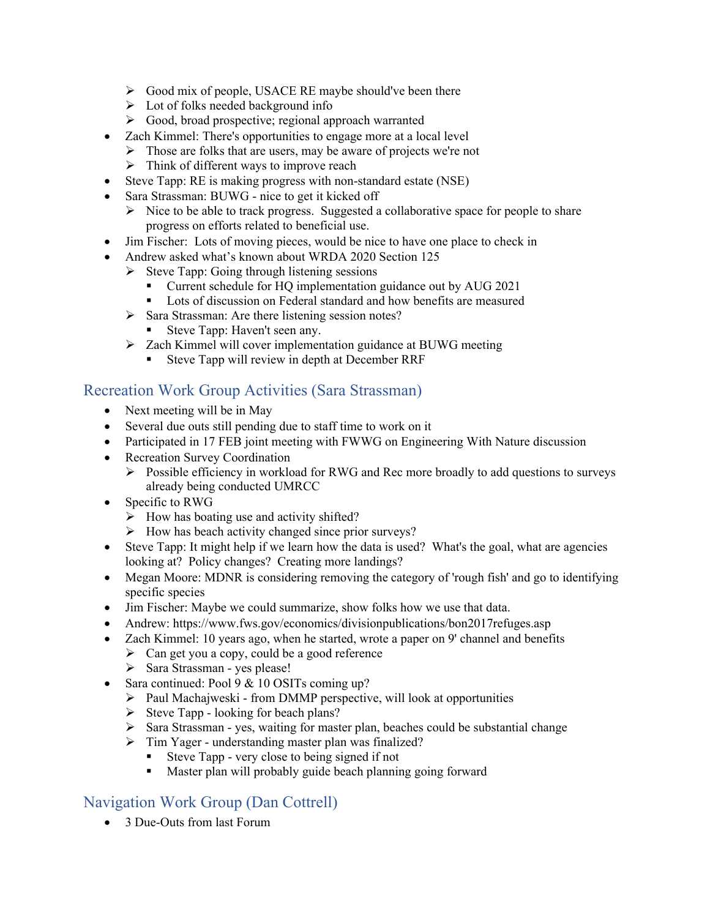- $\triangleright$  Good mix of people, USACE RE maybe should've been there
- $\triangleright$  Lot of folks needed background info
- Good, broad prospective; regional approach warranted
- Zach Kimmel: There's opportunities to engage more at a local level
	- $\triangleright$  Those are folks that are users, may be aware of projects we're not
	- $\triangleright$  Think of different ways to improve reach
- Steve Tapp: RE is making progress with non-standard estate (NSE)
- Sara Strassman: BUWG nice to get it kicked off
	- $\triangleright$  Nice to be able to track progress. Suggested a collaborative space for people to share progress on efforts related to beneficial use.
- Jim Fischer: Lots of moving pieces, would be nice to have one place to check in
- Andrew asked what's known about WRDA 2020 Section 125
	- $\triangleright$  Steve Tapp: Going through listening sessions
		- Current schedule for HQ implementation guidance out by AUG 2021<br>■ Lots of discussion on Federal standard and how benefits are measured
		- Lots of discussion on Federal standard and how benefits are measured
	- $\triangleright$  Sara Strassman: Are there listening session notes?
		- Steve Tapp: Haven't seen any.
	- Zach Kimmel will cover implementation guidance at BUWG meeting
		- Steve Tapp will review in depth at December RRF

#### Recreation Work Group Activities (Sara Strassman)

- Next meeting will be in May
- Several due outs still pending due to staff time to work on it
- Participated in 17 FEB joint meeting with FWWG on Engineering With Nature discussion
- Recreation Survey Coordination
	- Possible efficiency in workload for RWG and Rec more broadly to add questions to surveys already being conducted UMRCC
- Specific to RWG
	- $\triangleright$  How has boating use and activity shifted?
	- $\triangleright$  How has beach activity changed since prior surveys?
- Steve Tapp: It might help if we learn how the data is used? What's the goal, what are agencies looking at? Policy changes? Creating more landings?
- Megan Moore: MDNR is considering removing the category of 'rough fish' and go to identifying specific species
- Jim Fischer: Maybe we could summarize, show folks how we use that data.
- Andrew: https://www.fws.gov/economics/divisionpublications/bon2017refuges.asp
- Zach Kimmel: 10 years ago, when he started, wrote a paper on 9' channel and benefits
	- $\triangleright$  Can get you a copy, could be a good reference
	- $\triangleright$  Sara Strassman yes please!
- Sara continued: Pool 9 & 10 OSITs coming up?
	- $\triangleright$  Paul Machajweski from DMMP perspective, will look at opportunities
	- $\triangleright$  Steve Tapp looking for beach plans?
	- $\triangleright$  Sara Strassman yes, waiting for master plan, beaches could be substantial change
	- Tim Yager understanding master plan was finalized?
		- Steve Tapp very close to being signed if not
		- **Master plan will probably guide beach planning going forward**

## Navigation Work Group (Dan Cottrell)

• 3 Due-Outs from last Forum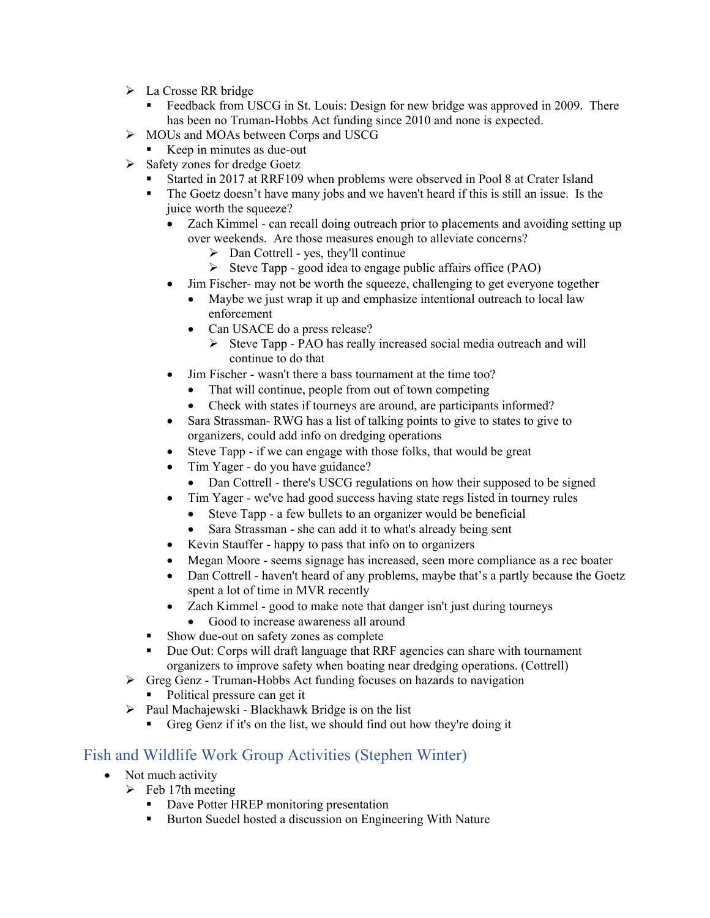- La Crosse RR bridge
	- Feedback from USCG in St. Louis: Design for new bridge was approved in 2009. There has been no Truman-Hobbs Act funding since 2010 and none is expected.
- MOUs and MOAs between Corps and USCG
- Keep in minutes as due-out
- $\triangleright$  Safety zones for dredge Goetz
	- Started in 2017 at RRF109 when problems were observed in Pool 8 at Crater Island
	- The Goetz doesn't have many jobs and we haven't heard if this is still an issue. Is the juice worth the squeeze?
		- Zach Kimmel can recall doing outreach prior to placements and avoiding setting up over weekends. Are those measures enough to alleviate concerns?
			- $\triangleright$  Dan Cottrell yes, they'll continue
			- $\triangleright$  Steve Tapp good idea to engage public affairs office (PAO)
			- Jim Fischer- may not be worth the squeeze, challenging to get everyone together
			- Maybe we just wrap it up and emphasize intentional outreach to local law enforcement
			- Can USACE do a press release?
				- Steve Tapp PAO has really increased social media outreach and will continue to do that
		- Jim Fischer wasn't there a bass tournament at the time too?
			- That will continue, people from out of town competing
			- Check with states if tourneys are around, are participants informed?
		- Sara Strassman- RWG has a list of talking points to give to states to give to organizers, could add info on dredging operations
		- Steve Tapp if we can engage with those folks, that would be great
		- Tim Yager do you have guidance?
			- Dan Cottrell there's USCG regulations on how their supposed to be signed
		- Tim Yager we've had good success having state regs listed in tourney rules
			- Steve Tapp a few bullets to an organizer would be beneficial
			- Sara Strassman she can add it to what's already being sent
		- Kevin Stauffer happy to pass that info on to organizers
		- Megan Moore seems signage has increased, seen more compliance as a rec boater
		- Dan Cottrell haven't heard of any problems, maybe that's a partly because the Goetz spent a lot of time in MVR recently
		- Zach Kimmel good to make note that danger isn't just during tourneys
			- Good to increase awareness all around
	- Show due-out on safety zones as complete
	- Due Out: Corps will draft language that RRF agencies can share with tournament organizers to improve safety when boating near dredging operations. (Cottrell)
- $\triangleright$  Greg Genz Truman-Hobbs Act funding focuses on hazards to navigation
	- Political pressure can get it
- $\triangleright$  Paul Machajewski Blackhawk Bridge is on the list
	- Greg Genz if it's on the list, we should find out how they're doing it

#### Fish and Wildlife Work Group Activities (Stephen Winter)

- Not much activity
	- $\triangleright$  Feb 17th meeting
		- Dave Potter HREP monitoring presentation
		- Burton Suedel hosted a discussion on Engineering With Nature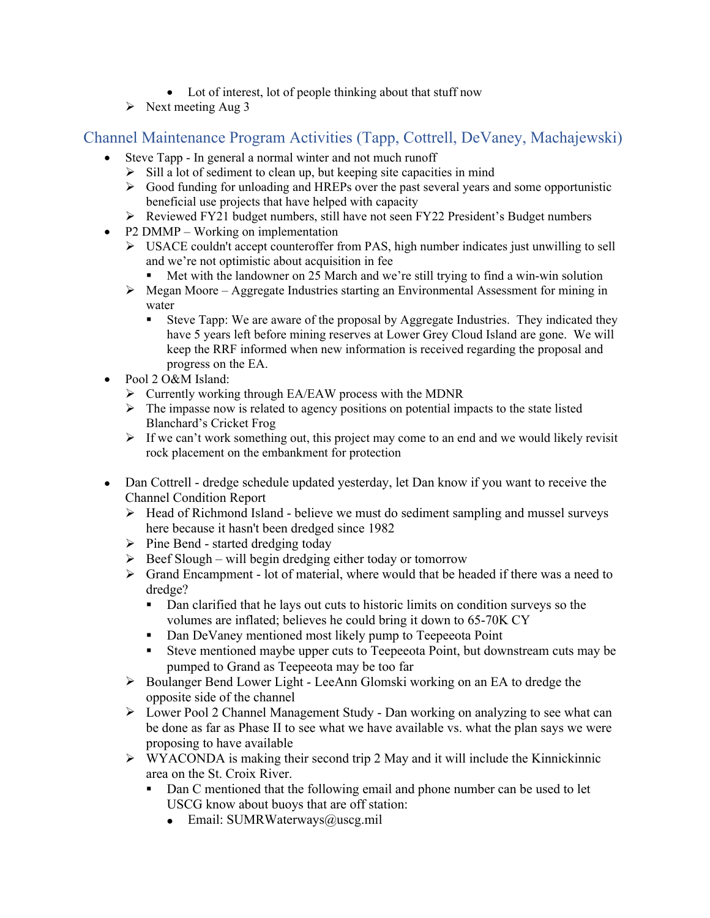- Lot of interest, lot of people thinking about that stuff now
- $\triangleright$  Next meeting Aug 3

## Channel Maintenance Program Activities (Tapp, Cottrell, DeVaney, Machajewski)

- Steve Tapp In general a normal winter and not much runoff
	- $\triangleright$  Sill a lot of sediment to clean up, but keeping site capacities in mind
	- $\triangleright$  Good funding for unloading and HREPs over the past several years and some opportunistic beneficial use projects that have helped with capacity
	- Reviewed FY21 budget numbers, still have not seen FY22 President's Budget numbers
- P2 DMMP Working on implementation
	- USACE couldn't accept counteroffer from PAS, high number indicates just unwilling to sell and we're not optimistic about acquisition in fee
		- Met with the landowner on 25 March and we're still trying to find a win-win solution
	- $\triangleright$  Megan Moore Aggregate Industries starting an Environmental Assessment for mining in water
		- Steve Tapp: We are aware of the proposal by Aggregate Industries. They indicated they have 5 years left before mining reserves at Lower Grey Cloud Island are gone. We will keep the RRF informed when new information is received regarding the proposal and progress on the EA.
- Pool 2 O&M Island:
	- Currently working through EA/EAW process with the MDNR
	- $\triangleright$  The impasse now is related to agency positions on potential impacts to the state listed Blanchard's Cricket Frog
	- $\triangleright$  If we can't work something out, this project may come to an end and we would likely revisit rock placement on the embankment for protection
- Dan Cottrell dredge schedule updated yesterday, let Dan know if you want to receive the Channel Condition Report
	- $\triangleright$  Head of Richmond Island believe we must do sediment sampling and mussel surveys here because it hasn't been dredged since 1982
	- $\triangleright$  Pine Bend started dredging today
	- $\triangleright$  Beef Slough will begin dredging either today or tomorrow
	- $\triangleright$  Grand Encampment lot of material, where would that be headed if there was a need to dredge?
		- Dan clarified that he lays out cuts to historic limits on condition surveys so the volumes are inflated; believes he could bring it down to 65-70K CY
		- Dan DeVaney mentioned most likely pump to Teepeeota Point
		- Steve mentioned maybe upper cuts to Teepeeota Point, but downstream cuts may be pumped to Grand as Teepeeota may be too far
	- ▶ Boulanger Bend Lower Light LeeAnn Glomski working on an EA to dredge the opposite side of the channel
	- $\triangleright$  Lower Pool 2 Channel Management Study Dan working on analyzing to see what can be done as far as Phase II to see what we have available vs. what the plan says we were proposing to have available
	- $\triangleright$  WYACONDA is making their second trip 2 May and it will include the Kinnickinnic area on the St. Croix River.
		- Dan C mentioned that the following email and phone number can be used to let USCG know about buoys that are off station:
			- $\bullet$  Email: SUMRWaterways@uscg.mil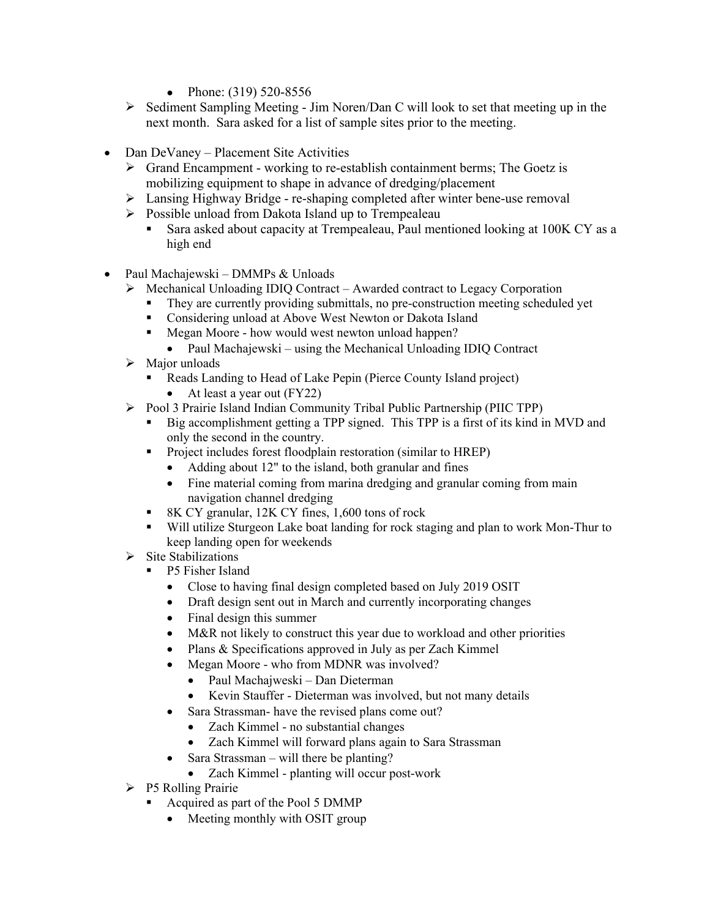- Phone:  $(319)$  520-8556
- $\triangleright$  Sediment Sampling Meeting Jim Noren/Dan C will look to set that meeting up in the next month. Sara asked for a list of sample sites prior to the meeting.
- Dan DeVaney Placement Site Activities
	- $\triangleright$  Grand Encampment working to re-establish containment berms; The Goetz is mobilizing equipment to shape in advance of dredging/placement
	- Lansing Highway Bridge re-shaping completed after winter bene-use removal
	- $\triangleright$  Possible unload from Dakota Island up to Trempealeau
		- Sara asked about capacity at Trempealeau, Paul mentioned looking at 100K CY as a high end
- Paul Machajewski DMMPs & Unloads
	- $\triangleright$  Mechanical Unloading IDIQ Contract Awarded contract to Legacy Corporation
		- They are currently providing submittals, no pre-construction meeting scheduled yet
		- **Considering unload at Above West Newton or Dakota Island**
		- Megan Moore how would west newton unload happen?
			- Paul Machajewski using the Mechanical Unloading IDIQ Contract
	- $\triangleright$  Major unloads
		- Reads Landing to Head of Lake Pepin (Pierce County Island project)
			- At least a year out (FY22)
	- Pool 3 Prairie Island Indian Community Tribal Public Partnership (PIIC TPP)
		- Big accomplishment getting a TPP signed. This TPP is a first of its kind in MVD and only the second in the country.
		- **Project includes forest floodplain restoration (similar to HREP)** 
			- Adding about 12" to the island, both granular and fines
			- Fine material coming from marina dredging and granular coming from main navigation channel dredging
		- 8K CY granular, 12K CY fines, 1,600 tons of rock
		- Will utilize Sturgeon Lake boat landing for rock staging and plan to work Mon-Thur to keep landing open for weekends
	- $\triangleright$  Site Stabilizations
		- P5 Fisher Island
			- Close to having final design completed based on July 2019 OSIT
			- Draft design sent out in March and currently incorporating changes
			- Final design this summer
			- M&R not likely to construct this year due to workload and other priorities
			- Plans & Specifications approved in July as per Zach Kimmel
			- Megan Moore who from MDNR was involved?
				- Paul Machajweski Dan Dieterman
				- Kevin Stauffer Dieterman was involved, but not many details
			- Sara Strassman- have the revised plans come out?
				- Zach Kimmel no substantial changes
				- Zach Kimmel will forward plans again to Sara Strassman
			- Sara Strassman will there be planting?
				- Zach Kimmel planting will occur post-work
	- $\triangleright$  P5 Rolling Prairie
		- Acquired as part of the Pool 5 DMMP
			- Meeting monthly with OSIT group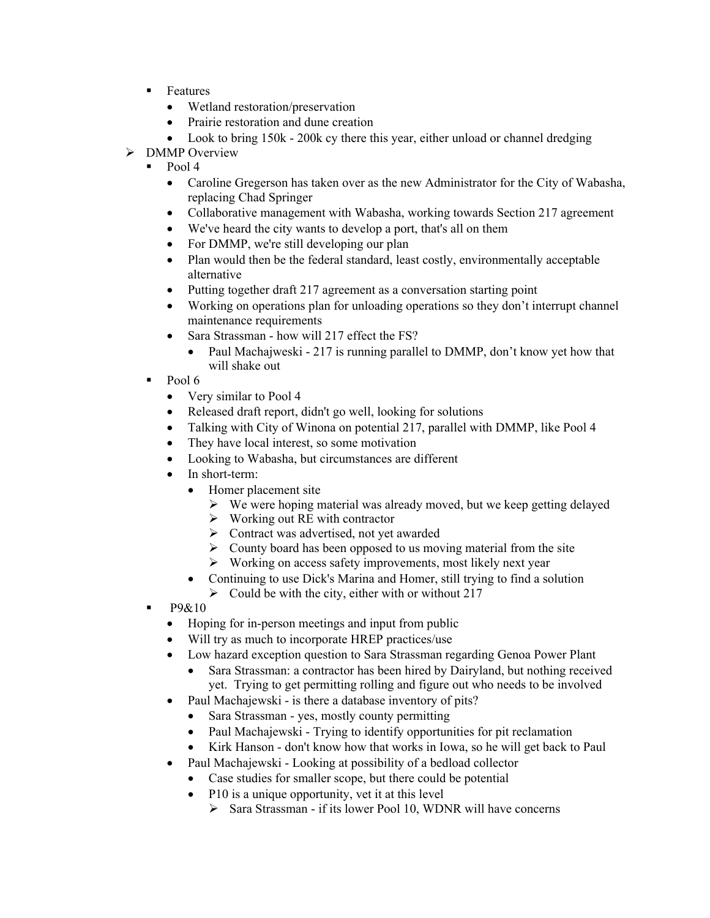- **Features** 
	- Wetland restoration/preservation
	- Prairie restoration and dune creation
	- Look to bring 150k 200k cy there this year, either unload or channel dredging
- > DMMP Overview
	- Pool 4
		- Caroline Gregerson has taken over as the new Administrator for the City of Wabasha, replacing Chad Springer
		- Collaborative management with Wabasha, working towards Section 217 agreement
		- We've heard the city wants to develop a port, that's all on them
		- For DMMP, we're still developing our plan
		- Plan would then be the federal standard, least costly, environmentally acceptable alternative
		- Putting together draft 217 agreement as a conversation starting point
		- Working on operations plan for unloading operations so they don't interrupt channel maintenance requirements
		- Sara Strassman how will 217 effect the FS?
			- Paul Machajweski 217 is running parallel to DMMP, don't know yet how that will shake out
	- Pool 6
		- Very similar to Pool 4
		- Released draft report, didn't go well, looking for solutions
		- Talking with City of Winona on potential 217, parallel with DMMP, like Pool 4
		- They have local interest, so some motivation
		- Looking to Wabasha, but circumstances are different
		- In short-term:
			- Homer placement site
				- $\triangleright$  We were hoping material was already moved, but we keep getting delayed
				- $\triangleright$  Working out RE with contractor
				- Contract was advertised, not yet awarded
				- $\triangleright$  County board has been opposed to us moving material from the site
				- $\triangleright$  Working on access safety improvements, most likely next year
			- Continuing to use Dick's Marina and Homer, still trying to find a solution
				- $\triangleright$  Could be with the city, either with or without 217
	- $-$  P9&10
		- Hoping for in-person meetings and input from public
		- Will try as much to incorporate HREP practices/use
		- Low hazard exception question to Sara Strassman regarding Genoa Power Plant
			- Sara Strassman: a contractor has been hired by Dairyland, but nothing received yet. Trying to get permitting rolling and figure out who needs to be involved
		- Paul Machajewski is there a database inventory of pits?
			- Sara Strassman yes, mostly county permitting
			- Paul Machajewski Trying to identify opportunities for pit reclamation
			- Kirk Hanson don't know how that works in Iowa, so he will get back to Paul
		- Paul Machajewski Looking at possibility of a bedload collector
			- Case studies for smaller scope, but there could be potential
			- P10 is a unique opportunity, vet it at this level
				- $\triangleright$  Sara Strassman if its lower Pool 10, WDNR will have concerns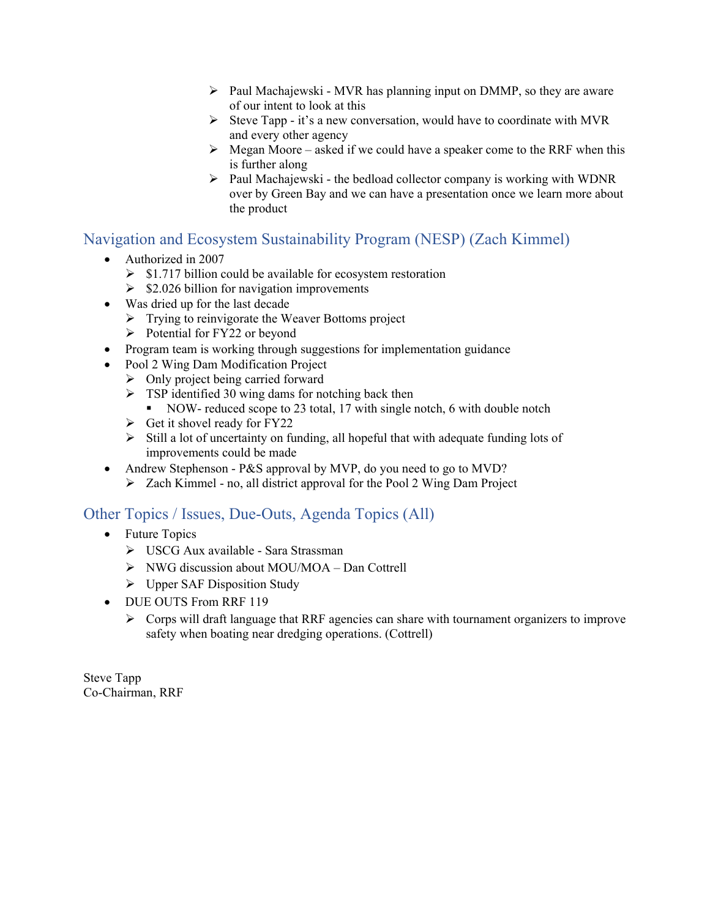- $\triangleright$  Paul Machajewski MVR has planning input on DMMP, so they are aware of our intent to look at this
- $\triangleright$  Steve Tapp it's a new conversation, would have to coordinate with MVR and every other agency
- $\triangleright$  Megan Moore asked if we could have a speaker come to the RRF when this is further along
- $\triangleright$  Paul Machajewski the bedload collector company is working with WDNR over by Green Bay and we can have a presentation once we learn more about the product

## Navigation and Ecosystem Sustainability Program (NESP) (Zach Kimmel)

- Authorized in 2007
	- $\triangleright$  \$1.717 billion could be available for ecosystem restoration
	- $\geq$  \$2.026 billion for navigation improvements
- Was dried up for the last decade
	- > Trying to reinvigorate the Weaver Bottoms project
	- $\triangleright$  Potential for FY22 or beyond
- Program team is working through suggestions for implementation guidance
- Pool 2 Wing Dam Modification Project
	- $\triangleright$  Only project being carried forward
	- $\triangleright$  TSP identified 30 wing dams for notching back then
		- NOW- reduced scope to 23 total, 17 with single notch, 6 with double notch
	- $\triangleright$  Get it shovel ready for FY22
	- $\triangleright$  Still a lot of uncertainty on funding, all hopeful that with adequate funding lots of improvements could be made
- Andrew Stephenson P&S approval by MVP, do you need to go to MVD?
	- Zach Kimmel no, all district approval for the Pool 2 Wing Dam Project

#### Other Topics / Issues, Due-Outs, Agenda Topics (All)

- Future Topics
	- USCG Aux available Sara Strassman
	- NWG discussion about MOU/MOA Dan Cottrell
	- Upper SAF Disposition Study
- DUE OUTS From RRF 119
	- $\triangleright$  Corps will draft language that RRF agencies can share with tournament organizers to improve safety when boating near dredging operations. (Cottrell)

Steve Tapp Co-Chairman, RRF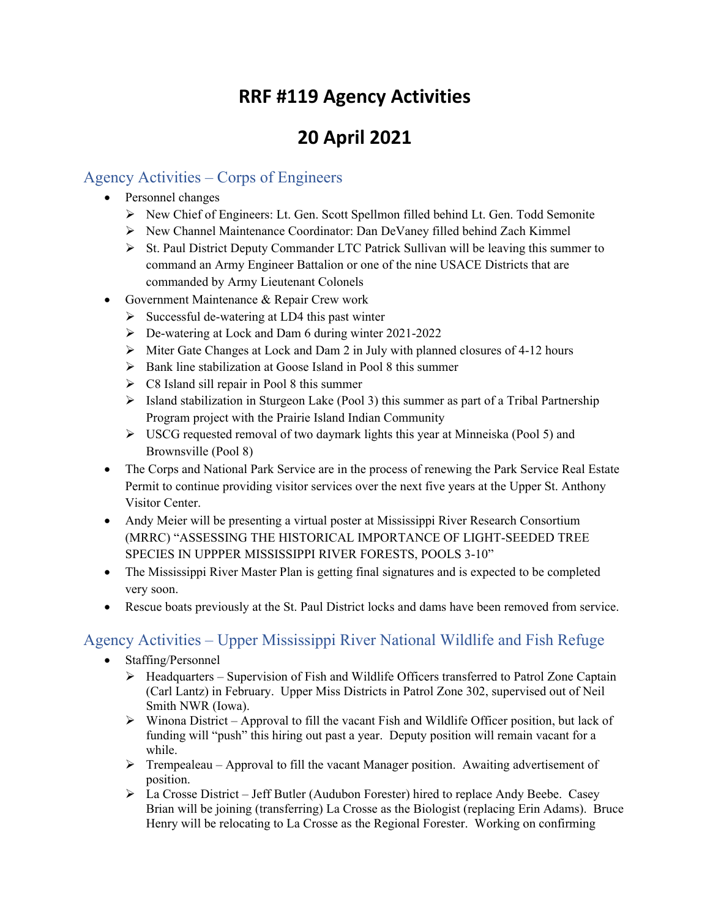# **RRF #119 Agency Activities**

# **20 April 2021**

# Agency Activities – Corps of Engineers

- Personnel changes
	- $\triangleright$  New Chief of Engineers: Lt. Gen. Scott Spellmon filled behind Lt. Gen. Todd Semonite
	- New Channel Maintenance Coordinator: Dan DeVaney filled behind Zach Kimmel
	- $\triangleright$  St. Paul District Deputy Commander LTC Patrick Sullivan will be leaving this summer to command an Army Engineer Battalion or one of the nine USACE Districts that are commanded by Army Lieutenant Colonels
- Government Maintenance & Repair Crew work
	- $\triangleright$  Successful de-watering at LD4 this past winter
	- De-watering at Lock and Dam 6 during winter 2021-2022
	- Miter Gate Changes at Lock and Dam 2 in July with planned closures of 4-12 hours
	- $\triangleright$  Bank line stabilization at Goose Island in Pool 8 this summer
	- $\triangleright$  C8 Island sill repair in Pool 8 this summer
	- $\triangleright$  Island stabilization in Sturgeon Lake (Pool 3) this summer as part of a Tribal Partnership Program project with the Prairie Island Indian Community
	- $\triangleright$  USCG requested removal of two daymark lights this year at Minneiska (Pool 5) and Brownsville (Pool 8)
- The Corps and National Park Service are in the process of renewing the Park Service Real Estate Permit to continue providing visitor services over the next five years at the Upper St. Anthony Visitor Center.
- Andy Meier will be presenting a virtual poster at Mississippi River Research Consortium (MRRC) "ASSESSING THE HISTORICAL IMPORTANCE OF LIGHT-SEEDED TREE SPECIES IN UPPPER MISSISSIPPI RIVER FORESTS, POOLS 3-10"
- The Mississippi River Master Plan is getting final signatures and is expected to be completed very soon.
- Rescue boats previously at the St. Paul District locks and dams have been removed from service.

# Agency Activities – Upper Mississippi River National Wildlife and Fish Refuge

- Staffing/Personnel
	- $\triangleright$  Headquarters Supervision of Fish and Wildlife Officers transferred to Patrol Zone Captain (Carl Lantz) in February. Upper Miss Districts in Patrol Zone 302, supervised out of Neil Smith NWR (Iowa).
	- $\triangleright$  Winona District Approval to fill the vacant Fish and Wildlife Officer position, but lack of funding will "push" this hiring out past a year. Deputy position will remain vacant for a while.
	- Trempealeau Approval to fill the vacant Manager position. Awaiting advertisement of position.
	- La Crosse District Jeff Butler (Audubon Forester) hired to replace Andy Beebe. Casey Brian will be joining (transferring) La Crosse as the Biologist (replacing Erin Adams). Bruce Henry will be relocating to La Crosse as the Regional Forester. Working on confirming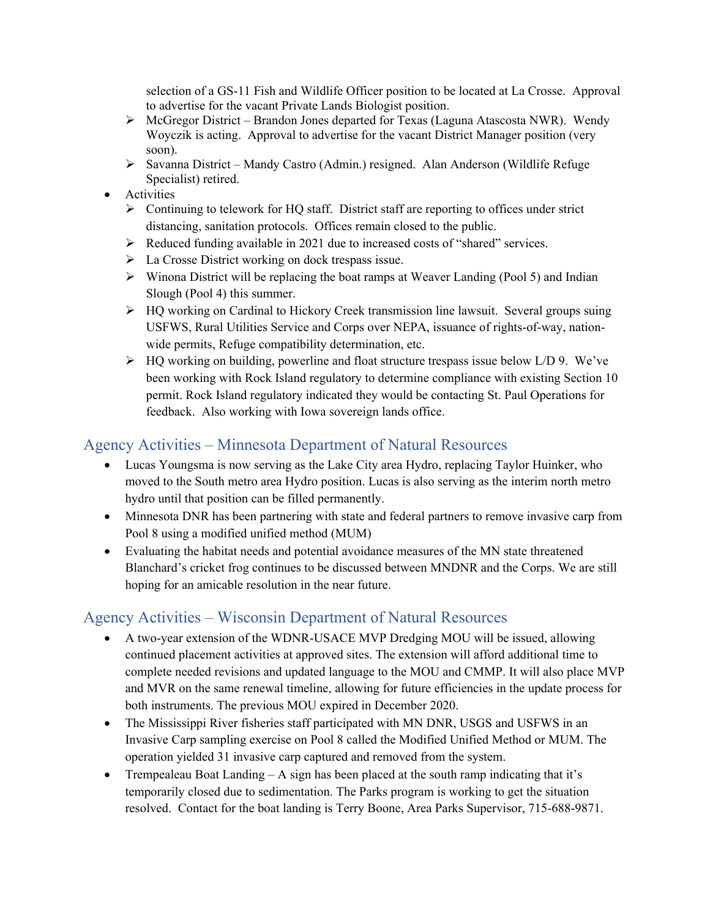selection of a GS-11 Fish and Wildlife Officer position to be located at La Crosse. Approval to advertise for the vacant Private Lands Biologist position.

- $\triangleright$  McGregor District Brandon Jones departed for Texas (Laguna Atascosta NWR). Wendy Woyczik is acting. Approval to advertise for the vacant District Manager position (very soon).
- Savanna District Mandy Castro (Admin.) resigned. Alan Anderson (Wildlife Refuge Specialist) retired.
- Activities
	- $\triangleright$  Continuing to telework for HQ staff. District staff are reporting to offices under strict distancing, sanitation protocols. Offices remain closed to the public.
	- Reduced funding available in 2021 due to increased costs of "shared" services.
	- $\triangleright$  La Crosse District working on dock trespass issue.
	- $\triangleright$  Winona District will be replacing the boat ramps at Weaver Landing (Pool 5) and Indian Slough (Pool 4) this summer.
	- > HQ working on Cardinal to Hickory Creek transmission line lawsuit. Several groups suing USFWS, Rural Utilities Service and Corps over NEPA, issuance of rights-of-way, nationwide permits, Refuge compatibility determination, etc.
	- $\triangleright$  HQ working on building, powerline and float structure trespass issue below L/D 9. We've been working with Rock Island regulatory to determine compliance with existing Section 10 permit. Rock Island regulatory indicated they would be contacting St. Paul Operations for feedback. Also working with Iowa sovereign lands office.

# Agency Activities – Minnesota Department of Natural Resources

- Lucas Youngsma is now serving as the Lake City area Hydro, replacing Taylor Huinker, who moved to the South metro area Hydro position. Lucas is also serving as the interim north metro hydro until that position can be filled permanently.
- Minnesota DNR has been partnering with state and federal partners to remove invasive carp from Pool 8 using a modified unified method (MUM)
- Evaluating the habitat needs and potential avoidance measures of the MN state threatened Blanchard's cricket frog continues to be discussed between MNDNR and the Corps. We are still hoping for an amicable resolution in the near future.

# Agency Activities – Wisconsin Department of Natural Resources

- A two-year extension of the WDNR-USACE MVP Dredging MOU will be issued, allowing continued placement activities at approved sites. The extension will afford additional time to complete needed revisions and updated language to the MOU and CMMP. It will also place MVP and MVR on the same renewal timeline, allowing for future efficiencies in the update process for both instruments. The previous MOU expired in December 2020.
- The Mississippi River fisheries staff participated with MN DNR, USGS and USFWS in an Invasive Carp sampling exercise on Pool 8 called the Modified Unified Method or MUM. The operation yielded 31 invasive carp captured and removed from the system.
- Trempealeau Boat Landing  $-A$  sign has been placed at the south ramp indicating that it's temporarily closed due to sedimentation. The Parks program is working to get the situation resolved. Contact for the boat landing is Terry Boone, Area Parks Supervisor, 715-688-9871.